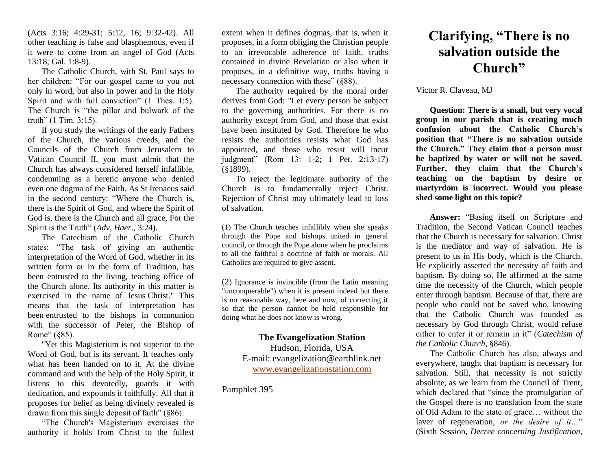(Acts 3:16; 4:29-31; 5:12, 16; 9:32-42). All other teaching is false and blasphemous, even if it were to come from an angel of God (Acts 13:18; Gal. 1:8-9).

The Catholic Church, with St. Paul says to her children: "For our gospel came to you not only in word, but also in power and in the Holy Spirit and with full conviction" (1 Thes. 1:5). The Church is "the pillar and bulwark of the truth" (1 Tim. 3:15).

If you study the writings of the early Fathers of the Church, the various creeds, and the Councils of the Church from Jerusalem to Vatican Council II, you must admit that the Church has always considered herself infallible, condemning as a heretic anyone who denied even one dogma of the Faith. As St Irenaeus said in the second century: "Where the Church is, there is the Spirit of God, and where the Spirit of God is, there is the Church and all grace, For the Spirit is the Truth" (*Adv, Haer*., 3:24).

The Catechism of the Catholic Church states: "The task of giving an authentic interpretation of the Word of God, whether in its written form or in the form of Tradition, has been entrusted to the living, teaching office of the Church alone. Its authority in this matter is exercised in the name of Jesus Christ." This means that the task of interpretation has been entrusted to the bishops in communion with the successor of Peter, the Bishop of Rome" (§85).

"Yet this Magisterium is not superior to the Word of God, but is its servant. It teaches only what has been handed on to it. At the divine command and with the help of the Holy Spirit, it listens to this devotedly, guards it with dedication, and expounds it faithfully. All that it proposes for belief as being divinely revealed is drawn from this single deposit of faith" (§86).

"The Church's Magisterium exercises the authority it holds from Christ to the fullest

extent when it defines dogmas, that is, when it proposes, in a form obliging the Christian people to an irrevocable adherence of faith, truths contained in divine Revelation or also when it proposes, in a definitive way, truths having a necessary connection with these" (§88).

The authority required by the moral order derives from God: "Let every person be subject to the governing authorities. For there is no authority except from God, and those that exist have been instituted by God. Therefore he who resists the authorities resists what God has appointed, and those who resist will incur judgment" (Rom 13: 1-2; 1 Pet. 2:13-17) (§1899).

To reject the legitimate authority of the Church is to fundamentally reject Christ. Rejection of Christ may ultimately lead to loss of salvation.

(1) The Church teaches infallibly when she speaks through the Pope and bishops united in general council, or through the Pope alone when he proclaims to all the faithful a doctrine of faith or morals. All Catholics are required to give assent.

(2) Ignorance is invincible (from the Latin meaning "unconquerable") when it is present indeed but there is no reasonable way, here and now, of correcting it so that the person cannot be held responsible for doing what he does not know is wrong.

## **The Evangelization Station**

Hudson, Florida, USA E-mail: evangelization@earthlink.net [www.evangelizationstation.com](http://www.pjpiisoe.org/)

Pamphlet 395

## **Clarifying, "There is no salvation outside the Church"**

## Victor R. Claveau, MJ

**Question: There is a small, but very vocal group in our parish that is creating much confusion about the Catholic Church's position that "There is no salvation outside the Church." They claim that a person must be baptized by water or will not be saved. Further, they claim that the Church's teaching on the baptism by desire or martyrdom is incorrect. Would you please shed some light on this topic?**

**Answer:** "Basing itself on Scripture and Tradition, the Second Vatican Council teaches that the Church is necessary for salvation. Christ is the mediator and way of salvation. He is present to us in His body, which is the Church. He explicitly asserted the necessity of faith and baptism. By doing so, He affirmed at the same time the necessity of the Church, which people enter through baptism. Because of that, there are people who could not be saved who, knowing that the Catholic Church was founded as necessary by God through Christ, would refuse either to enter it or remain in it" (*Catechism of the Catholic Church*, §846).

The Catholic Church has also, always and everywhere, taught that baptism is necessary for salvation. Still, that necessity is not strictly absolute, as we learn from the Council of Trent, which declared that "since the promulgation of the Gospel there is no translation from the state of Old Adam to the state of grace… without the laver of regeneration, *or the desire of it…*" (Sixth Session, *Decree concerning Justification*,